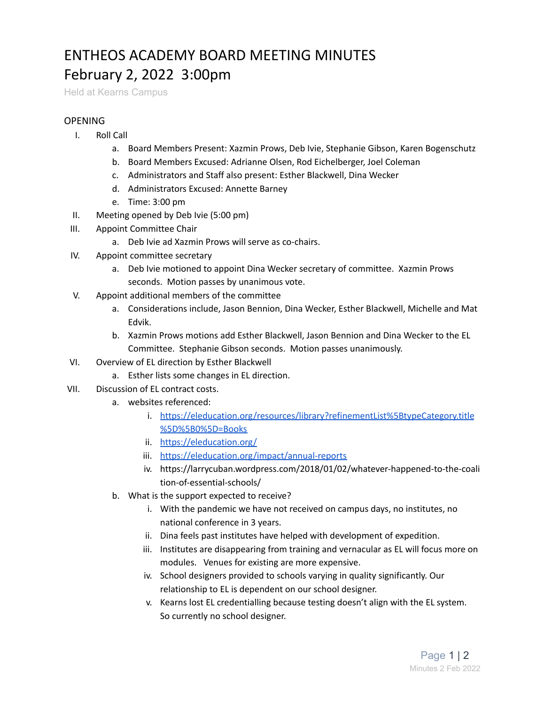## ENTHEOS ACADEMY BOARD MEETING MINUTES February 2, 2022 3:00pm

Held at Kearns Campus

## OPENING

- I. Roll Call
	- a. Board Members Present: Xazmin Prows, Deb Ivie, Stephanie Gibson, Karen Bogenschutz
	- b. Board Members Excused: Adrianne Olsen, Rod Eichelberger, Joel Coleman
	- c. Administrators and Staff also present: Esther Blackwell, Dina Wecker
	- d. Administrators Excused: Annette Barney
	- e. Time: 3:00 pm
- II. Meeting opened by Deb Ivie (5:00 pm)
- III. Appoint Committee Chair
	- a. Deb Ivie ad Xazmin Prows will serve as co-chairs.
- IV. Appoint committee secretary
	- a. Deb Ivie motioned to appoint Dina Wecker secretary of committee. Xazmin Prows seconds. Motion passes by unanimous vote.
- V. Appoint additional members of the committee
	- a. Considerations include, Jason Bennion, Dina Wecker, Esther Blackwell, Michelle and Mat Edvik.
	- b. Xazmin Prows motions add Esther Blackwell, Jason Bennion and Dina Wecker to the EL Committee. Stephanie Gibson seconds. Motion passes unanimously.
- VI. Overview of EL direction by Esther Blackwell
	- a. Esther lists some changes in EL direction.
- VII. Discussion of EL contract costs.
	- a. websites referenced:
		- i. [https://eleducation.org/resources/library?refinementList%5BtypeCategory.title](https://eleducation.org/resources/library?refinementList%5BtypeCategory.title%5D%5B0%5D=Books) [%5D%5B0%5D=Books](https://eleducation.org/resources/library?refinementList%5BtypeCategory.title%5D%5B0%5D=Books)
		- ii. <https://eleducation.org/>
		- iii. <https://eleducation.org/impact/annual-reports>
		- iv. https://larrycuban.wordpress.com/2018/01/02/whatever-happened-to-the-coali tion-of-essential-schools/
	- b. What is the support expected to receive?
		- i. With the pandemic we have not received on campus days, no institutes, no national conference in 3 years.
		- ii. Dina feels past institutes have helped with development of expedition.
		- iii. Institutes are disappearing from training and vernacular as EL will focus more on modules. Venues for existing are more expensive.
		- iv. School designers provided to schools varying in quality significantly. Our relationship to EL is dependent on our school designer.
		- v. Kearns lost EL credentialling because testing doesn't align with the EL system. So currently no school designer.